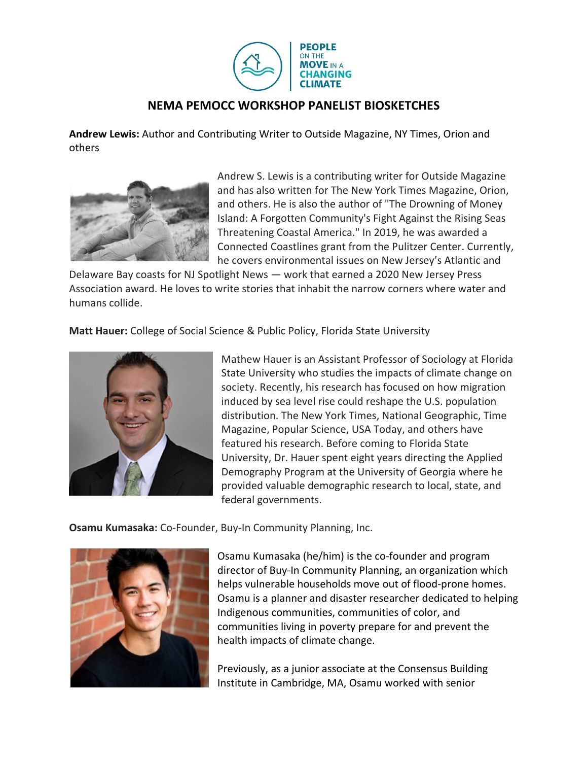

## **NEMA PEMOCC WORKSHOP PANELIST BIOSKETCHES**

**Andrew Lewis:** Author and Contributing Writer to Outside Magazine, NY Times, Orion and others



Andrew S. Lewis is a contributing writer for Outside Magazine and has also written for The New York Times Magazine, Orion, and others. He is also the author of "The Drowning of Money Island: A Forgotten Community's Fight Against the Rising Seas Threatening Coastal America." In 2019, he was awarded a Connected Coastlines grant from the Pulitzer Center. Currently, he covers environmental issues on New Jersey's Atlantic and

Delaware Bay coasts for NJ Spotlight News — work that earned a 2020 New Jersey Press Association award. He loves to write stories that inhabit the narrow corners where water and humans collide.

**Matt Hauer:** College of Social Science & Public Policy, Florida State University



Mathew Hauer is an Assistant Professor of Sociology at Florida State University who studies the impacts of climate change on society. Recently, his research has focused on how migration induced by sea level rise could reshape the U.S. population distribution. The New York Times, National Geographic, Time Magazine, Popular Science, USA Today, and others have featured his research. Before coming to Florida State University, Dr. Hauer spent eight years directing the Applied Demography Program at the University of Georgia where he provided valuable demographic research to local, state, and federal governments.

**Osamu Kumasaka:** Co-Founder, Buy-In Community Planning, Inc.



Osamu Kumasaka (he/him) is the co-founder and program director of Buy-In Community Planning, an organization which helps vulnerable households move out of flood-prone homes. Osamu is a planner and disaster researcher dedicated to helping Indigenous communities, communities of color, and communities living in poverty prepare for and prevent the health impacts of climate change.

Previously, as a junior associate at the Consensus Building Institute in Cambridge, MA, Osamu worked with senior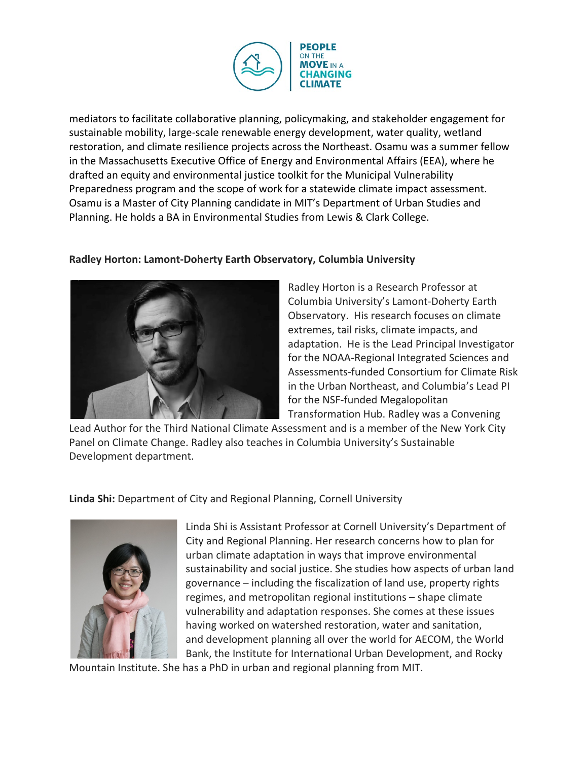

mediators to facilitate collaborative planning, policymaking, and stakeholder engagement for sustainable mobility, large-scale renewable energy development, water quality, wetland restoration, and climate resilience projects across the Northeast. Osamu was a summer fellow in the Massachusetts Executive Office of Energy and Environmental Affairs (EEA), where he drafted an equity and environmental justice toolkit for the Municipal Vulnerability Preparedness program and the scope of work for a statewide climate impact assessment. Osamu is a Master of City Planning candidate in MIT's Department of Urban Studies and Planning. He holds a BA in Environmental Studies from Lewis & Clark College.

## **Radley Horton: Lamont-Doherty Earth Observatory, Columbia University**



Radley Horton is a Research Professor at Columbia University's Lamont-Doherty Earth Observatory. His research focuses on climate extremes, tail risks, climate impacts, and adaptation. He is the Lead Principal Investigator for the NOAA-Regional Integrated Sciences and Assessments-funded Consortium for Climate Risk in the Urban Northeast, and Columbia's Lead PI for the NSF-funded Megalopolitan Transformation Hub. Radley was a Convening

Lead Author for the Third National Climate Assessment and is a member of the New York City Panel on Climate Change. Radley also teaches in Columbia University's Sustainable Development department.

**Linda Shi:** Department of City and Regional Planning, Cornell University



Linda Shi is Assistant Professor at Cornell University's Department of City and Regional Planning. Her research concerns how to plan for urban climate adaptation in ways that improve environmental sustainability and social justice. She studies how aspects of urban land governance – including the fiscalization of land use, property rights regimes, and metropolitan regional institutions – shape climate vulnerability and adaptation responses. She comes at these issues having worked on watershed restoration, water and sanitation, and development planning all over the world for AECOM, the World Bank, the Institute for International Urban Development, and Rocky

Mountain Institute. She has a PhD in urban and regional planning from MIT.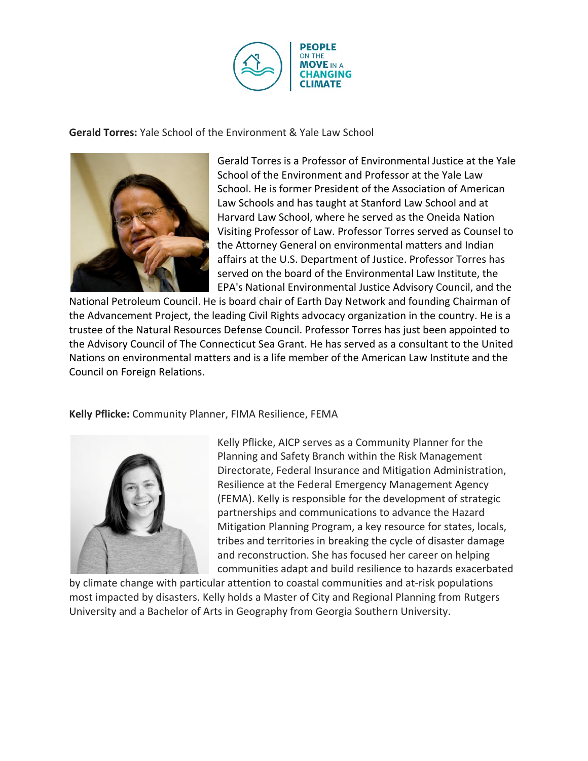

**Gerald Torres:** Yale School of the Environment & Yale Law School



Gerald Torres is a Professor of Environmental Justice at the Yale School of the Environment and Professor at the Yale Law School. He is former President of the Association of American Law Schools and has taught at Stanford Law School and at Harvard Law School, where he served as the Oneida Nation Visiting Professor of Law. Professor Torres served as Counsel to the Attorney General on environmental matters and Indian affairs at the U.S. Department of Justice. Professor Torres has served on the board of the Environmental Law Institute, the EPA's National Environmental Justice Advisory Council, and the

National Petroleum Council. He is board chair of Earth Day Network and founding Chairman of the Advancement Project, the leading Civil Rights advocacy organization in the country. He is a trustee of the Natural Resources Defense Council. Professor Torres has just been appointed to the Advisory Council of The Connecticut Sea Grant. He has served as a consultant to the United Nations on environmental matters and is a life member of the American Law Institute and the Council on Foreign Relations.

**Kelly Pflicke:** Community Planner, FIMA Resilience, FEMA



Kelly Pflicke, AICP serves as a Community Planner for the Planning and Safety Branch within the Risk Management Directorate, Federal Insurance and Mitigation Administration, Resilience at the Federal Emergency Management Agency (FEMA). Kelly is responsible for the development of strategic partnerships and communications to advance the Hazard Mitigation Planning Program, a key resource for states, locals, tribes and territories in breaking the cycle of disaster damage and reconstruction. She has focused her career on helping communities adapt and build resilience to hazards exacerbated

by climate change with particular attention to coastal communities and at-risk populations most impacted by disasters. Kelly holds a Master of City and Regional Planning from Rutgers University and a Bachelor of Arts in Geography from Georgia Southern University.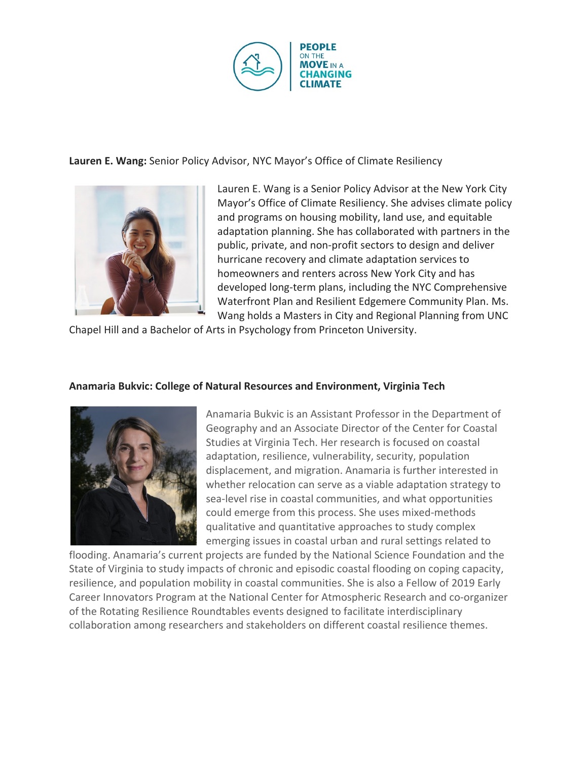

**Lauren E. Wang:** Senior Policy Advisor, NYC Mayor's Office of Climate Resiliency



Lauren E. Wang is a Senior Policy Advisor at the New York City Mayor's Office of Climate Resiliency. She advises climate policy and programs on housing mobility, land use, and equitable adaptation planning. She has collaborated with partners in the public, private, and non-profit sectors to design and deliver hurricane recovery and climate adaptation services to homeowners and renters across New York City and has developed long-term plans, including the NYC Comprehensive Waterfront Plan and Resilient Edgemere Community Plan. Ms. Wang holds a Masters in City and Regional Planning from UNC

Chapel Hill and a Bachelor of Arts in Psychology from Princeton University.

## **Anamaria Bukvic: College of Natural Resources and Environment, Virginia Tech**



Anamaria Bukvic is an Assistant Professor in the Department of Geography and an Associate Director of the Center for Coastal Studies at Virginia Tech. Her research is focused on coastal adaptation, resilience, vulnerability, security, population displacement, and migration. Anamaria is further interested in whether relocation can serve as a viable adaptation strategy to sea-level rise in coastal communities, and what opportunities could emerge from this process. She uses mixed-methods qualitative and quantitative approaches to study complex emerging issues in coastal urban and rural settings related to

flooding. Anamaria's current projects are funded by the National Science Foundation and the State of Virginia to study impacts of chronic and episodic coastal flooding on coping capacity, resilience, and population mobility in coastal communities. She is also a Fellow of 2019 Early Career Innovators Program at the National Center for Atmospheric Research and co-organizer of the Rotating Resilience Roundtables events designed to facilitate interdisciplinary collaboration among researchers and stakeholders on different coastal resilience themes.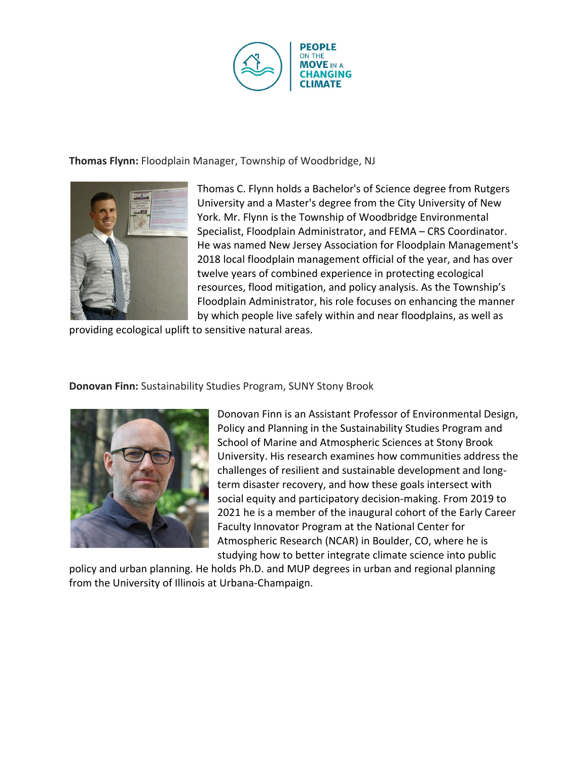

**Thomas Flynn:** Floodplain Manager, Township of Woodbridge, NJ



Thomas C. Flynn holds a Bachelor's of Science degree from Rutgers University and a Master's degree from the City University of New York. Mr. Flynn is the Township of Woodbridge Environmental Specialist, Floodplain Administrator, and FEMA – CRS Coordinator. He was named New Jersey Association for Floodplain Management's 2018 local floodplain management official of the year, and has over twelve years of combined experience in protecting ecological resources, flood mitigation, and policy analysis. As the Township's Floodplain Administrator, his role focuses on enhancing the manner by which people live safely within and near floodplains, as well as

providing ecological uplift to sensitive natural areas.

**Donovan Finn:** Sustainability Studies Program, SUNY Stony Brook



Donovan Finn is an Assistant Professor of Environmental Design, Policy and Planning in the Sustainability Studies Program and School of Marine and Atmospheric Sciences at Stony Brook University. His research examines how communities address the challenges of resilient and sustainable development and longterm disaster recovery, and how these goals intersect with social equity and participatory decision-making. From 2019 to 2021 he is a member of the inaugural cohort of the Early Career Faculty Innovator Program at the National Center for Atmospheric Research (NCAR) in Boulder, CO, where he is studying how to better integrate climate science into public

policy and urban planning. He holds Ph.D. and MUP degrees in urban and regional planning from the University of Illinois at Urbana-Champaign.